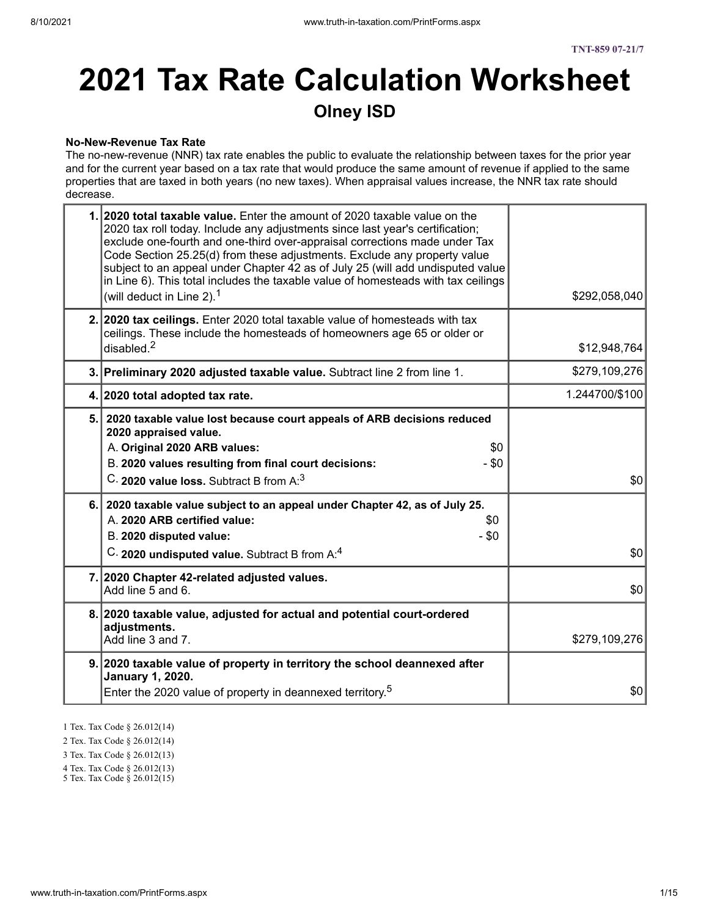#### **No-New-Revenue Tax Rate**

The no-new-revenue (NNR) tax rate enables the public to evaluate the relationship between taxes for the prior year and for the current year based on a tax rate that would produce the same amount of revenue if applied to the same properties that are taxed in both years (no new taxes). When appraisal values increase, the NNR tax rate should decrease.

| 1. 2020 total taxable value. Enter the amount of 2020 taxable value on the<br>2020 tax roll today. Include any adjustments since last year's certification;<br>exclude one-fourth and one-third over-appraisal corrections made under Tax<br>Code Section 25.25(d) from these adjustments. Exclude any property value<br>subject to an appeal under Chapter 42 as of July 25 (will add undisputed value<br>in Line 6). This total includes the taxable value of homesteads with tax ceilings<br>(will deduct in Line 2). $1$ | \$292,058,040  |
|------------------------------------------------------------------------------------------------------------------------------------------------------------------------------------------------------------------------------------------------------------------------------------------------------------------------------------------------------------------------------------------------------------------------------------------------------------------------------------------------------------------------------|----------------|
| 2. 2020 tax ceilings. Enter 2020 total taxable value of homesteads with tax<br>ceilings. These include the homesteads of homeowners age 65 or older or<br>disabled. $2$                                                                                                                                                                                                                                                                                                                                                      | \$12,948,764   |
| 3. Preliminary 2020 adjusted taxable value. Subtract line 2 from line 1.                                                                                                                                                                                                                                                                                                                                                                                                                                                     | \$279,109,276  |
| 4. 2020 total adopted tax rate.                                                                                                                                                                                                                                                                                                                                                                                                                                                                                              | 1.244700/\$100 |
| 5. 2020 taxable value lost because court appeals of ARB decisions reduced<br>2020 appraised value.<br>A. Original 2020 ARB values:<br>\$0<br>B. 2020 values resulting from final court decisions:<br>$-$ \$0<br>C. 2020 value loss. Subtract B from A: <sup>3</sup>                                                                                                                                                                                                                                                          | \$0            |
| 6. 2020 taxable value subject to an appeal under Chapter 42, as of July 25.<br>A. 2020 ARB certified value:<br>\$0<br>$-$ \$0<br>B. 2020 disputed value:<br>C. 2020 undisputed value. Subtract B from A:4                                                                                                                                                                                                                                                                                                                    | \$0            |
| 7. 2020 Chapter 42-related adjusted values.<br>Add line 5 and 6.                                                                                                                                                                                                                                                                                                                                                                                                                                                             | \$0            |
| 8. 2020 taxable value, adjusted for actual and potential court-ordered<br>adjustments.<br>Add line 3 and 7.                                                                                                                                                                                                                                                                                                                                                                                                                  | \$279,109,276  |
| 9. 2020 taxable value of property in territory the school deannexed after<br>January 1, 2020.<br>Enter the 2020 value of property in deannexed territory. <sup>5</sup>                                                                                                                                                                                                                                                                                                                                                       | \$0            |
|                                                                                                                                                                                                                                                                                                                                                                                                                                                                                                                              |                |

- 1 Tex. Tax Code § 26.012(14)
- 2 Tex. Tax Code § 26.012(14)
- 3 Tex. Tax Code § 26.012(13)
- 4 Tex. Tax Code § 26.012(13)
- 5 Tex. Tax Code § 26.012(15)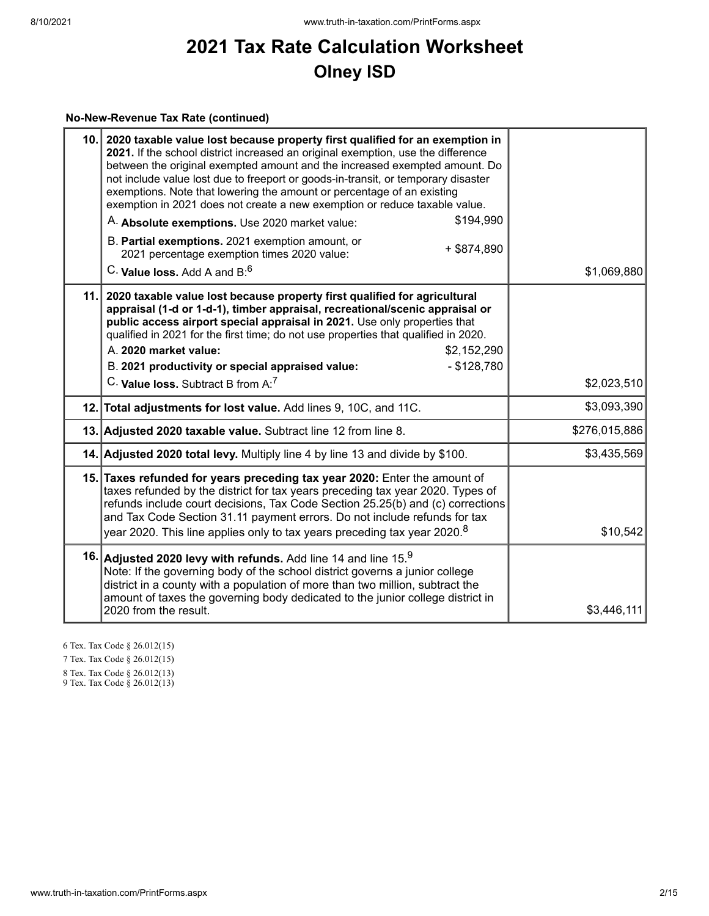# **No-New-Revenue Tax Rate (continued)**

| 10. | 2020 taxable value lost because property first qualified for an exemption in<br>2021. If the school district increased an original exemption, use the difference<br>between the original exempted amount and the increased exempted amount. Do<br>not include value lost due to freeport or goods-in-transit, or temporary disaster<br>exemptions. Note that lowering the amount or percentage of an existing<br>exemption in 2021 does not create a new exemption or reduce taxable value.<br>\$194,990<br>A. Absolute exemptions. Use 2020 market value:<br>B. Partial exemptions. 2021 exemption amount, or<br>$+$ \$874,890<br>2021 percentage exemption times 2020 value:<br>C. Value loss, Add A and $B$ <sup>6</sup> | \$1,069,880   |
|-----|-----------------------------------------------------------------------------------------------------------------------------------------------------------------------------------------------------------------------------------------------------------------------------------------------------------------------------------------------------------------------------------------------------------------------------------------------------------------------------------------------------------------------------------------------------------------------------------------------------------------------------------------------------------------------------------------------------------------------------|---------------|
| 11. | 2020 taxable value lost because property first qualified for agricultural<br>appraisal (1-d or 1-d-1), timber appraisal, recreational/scenic appraisal or<br>public access airport special appraisal in 2021. Use only properties that<br>qualified in 2021 for the first time; do not use properties that qualified in 2020.<br>A. 2020 market value:<br>\$2,152,290<br>B. 2021 productivity or special appraised value:<br>$-$ \$128,780                                                                                                                                                                                                                                                                                  |               |
|     | C. Value loss. Subtract B from A:7                                                                                                                                                                                                                                                                                                                                                                                                                                                                                                                                                                                                                                                                                          | \$2,023,510   |
|     | 12. Total adjustments for lost value. Add lines 9, 10C, and 11C.                                                                                                                                                                                                                                                                                                                                                                                                                                                                                                                                                                                                                                                            | \$3,093,390   |
|     | 13. Adjusted 2020 taxable value. Subtract line 12 from line 8.                                                                                                                                                                                                                                                                                                                                                                                                                                                                                                                                                                                                                                                              | \$276,015,886 |
|     | 14. Adjusted 2020 total levy. Multiply line 4 by line 13 and divide by \$100.                                                                                                                                                                                                                                                                                                                                                                                                                                                                                                                                                                                                                                               | \$3,435,569   |
|     | 15. Taxes refunded for years preceding tax year 2020: Enter the amount of<br>taxes refunded by the district for tax years preceding tax year 2020. Types of<br>refunds include court decisions, Tax Code Section 25.25(b) and (c) corrections<br>and Tax Code Section 31.11 payment errors. Do not include refunds for tax<br>year 2020. This line applies only to tax years preceding tax year 2020. <sup>8</sup>                                                                                                                                                                                                                                                                                                          | \$10,542      |
|     | 16. Adjusted 2020 levy with refunds. Add line 14 and line 15.9<br>Note: If the governing body of the school district governs a junior college<br>district in a county with a population of more than two million, subtract the<br>amount of taxes the governing body dedicated to the junior college district in<br>2020 from the result.                                                                                                                                                                                                                                                                                                                                                                                   | \$3,446,111   |

6 Tex. Tax Code § 26.012(15)

7 Tex. Tax Code § 26.012(15)

8 Tex. Tax Code § 26.012(13)

9 Tex. Tax Code § 26.012(13)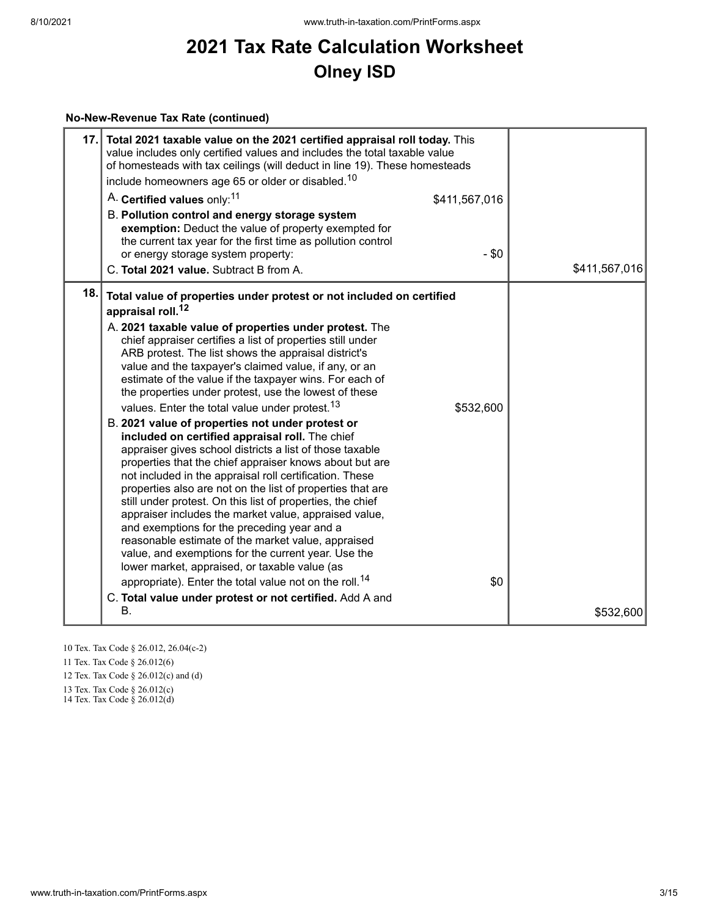#### **No-New-Revenue Tax Rate (continued)**

| 17. | Total 2021 taxable value on the 2021 certified appraisal roll today. This<br>value includes only certified values and includes the total taxable value<br>of homesteads with tax ceilings (will deduct in line 19). These homesteads<br>include homeowners age 65 or older or disabled. <sup>10</sup><br>A. Certified values only: <sup>11</sup><br>\$411,567,016<br>B. Pollution control and energy storage system<br>exemption: Deduct the value of property exempted for<br>the current tax year for the first time as pollution control<br>$-$ \$0<br>or energy storage system property:<br>C. Total 2021 value. Subtract B from A.                                                                                                                                                                                                                                                                                                                                                                                                                                                                                                                                                                                                                                                                   | \$411,567,016 |
|-----|-----------------------------------------------------------------------------------------------------------------------------------------------------------------------------------------------------------------------------------------------------------------------------------------------------------------------------------------------------------------------------------------------------------------------------------------------------------------------------------------------------------------------------------------------------------------------------------------------------------------------------------------------------------------------------------------------------------------------------------------------------------------------------------------------------------------------------------------------------------------------------------------------------------------------------------------------------------------------------------------------------------------------------------------------------------------------------------------------------------------------------------------------------------------------------------------------------------------------------------------------------------------------------------------------------------|---------------|
| 18. | Total value of properties under protest or not included on certified                                                                                                                                                                                                                                                                                                                                                                                                                                                                                                                                                                                                                                                                                                                                                                                                                                                                                                                                                                                                                                                                                                                                                                                                                                      |               |
|     | appraisal roll. <sup>12</sup><br>A. 2021 taxable value of properties under protest. The<br>chief appraiser certifies a list of properties still under<br>ARB protest. The list shows the appraisal district's<br>value and the taxpayer's claimed value, if any, or an<br>estimate of the value if the taxpayer wins. For each of<br>the properties under protest, use the lowest of these<br>values. Enter the total value under protest. <sup>13</sup><br>\$532,600<br>B. 2021 value of properties not under protest or<br>included on certified appraisal roll. The chief<br>appraiser gives school districts a list of those taxable<br>properties that the chief appraiser knows about but are<br>not included in the appraisal roll certification. These<br>properties also are not on the list of properties that are<br>still under protest. On this list of properties, the chief<br>appraiser includes the market value, appraised value,<br>and exemptions for the preceding year and a<br>reasonable estimate of the market value, appraised<br>value, and exemptions for the current year. Use the<br>lower market, appraised, or taxable value (as<br>appropriate). Enter the total value not on the roll. <sup>14</sup><br>\$0<br>C. Total value under protest or not certified. Add A and |               |
|     | В.                                                                                                                                                                                                                                                                                                                                                                                                                                                                                                                                                                                                                                                                                                                                                                                                                                                                                                                                                                                                                                                                                                                                                                                                                                                                                                        | \$532,600     |

10 Tex. Tax Code § 26.012, 26.04(c-2)

11 Tex. Tax Code § 26.012(6)

12 Tex. Tax Code § 26.012(c) and (d)

13 Tex. Tax Code § 26.012(c)

14 Tex. Tax Code § 26.012(d)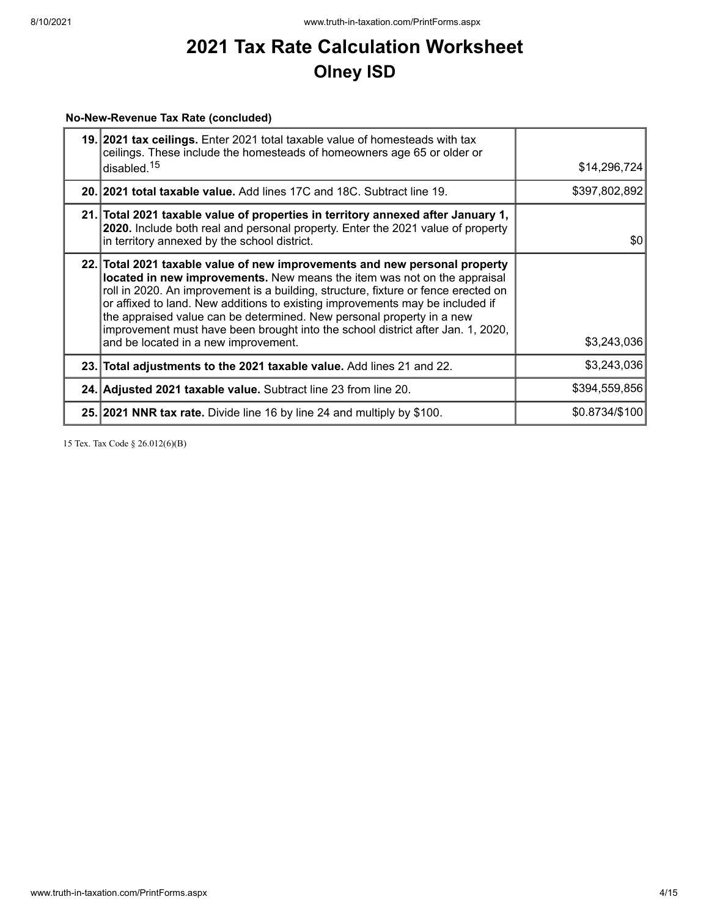# **No-New-Revenue Tax Rate (concluded)**

| 19. 2021 tax ceilings. Enter 2021 total taxable value of homesteads with tax<br>ceilings. These include the homesteads of homeowners age 65 or older or<br>disabled. <sup>15</sup>                                                                                                                                                                                                                                                                                                                                                |                |
|-----------------------------------------------------------------------------------------------------------------------------------------------------------------------------------------------------------------------------------------------------------------------------------------------------------------------------------------------------------------------------------------------------------------------------------------------------------------------------------------------------------------------------------|----------------|
|                                                                                                                                                                                                                                                                                                                                                                                                                                                                                                                                   | \$14,296,724   |
| 20. 2021 total taxable value. Add lines 17C and 18C. Subtract line 19.                                                                                                                                                                                                                                                                                                                                                                                                                                                            | \$397,802,892  |
| 21. Total 2021 taxable value of properties in territory annexed after January 1,<br>2020. Include both real and personal property. Enter the 2021 value of property<br>in territory annexed by the school district.                                                                                                                                                                                                                                                                                                               | \$0            |
| 22. Total 2021 taxable value of new improvements and new personal property<br>located in new improvements. New means the item was not on the appraisal<br>roll in 2020. An improvement is a building, structure, fixture or fence erected on<br>or affixed to land. New additions to existing improvements may be included if<br>the appraised value can be determined. New personal property in a new<br>improvement must have been brought into the school district after Jan. 1, 2020,<br>and be located in a new improvement. | \$3,243,036    |
| 23. Total adjustments to the 2021 taxable value. Add lines 21 and 22.                                                                                                                                                                                                                                                                                                                                                                                                                                                             | \$3,243,036    |
| 24. Adjusted 2021 taxable value. Subtract line 23 from line 20.                                                                                                                                                                                                                                                                                                                                                                                                                                                                   | \$394,559,856  |
| 25. 2021 NNR tax rate. Divide line 16 by line 24 and multiply by \$100.                                                                                                                                                                                                                                                                                                                                                                                                                                                           | \$0.8734/\$100 |

15 Tex. Tax Code § 26.012(6)(B)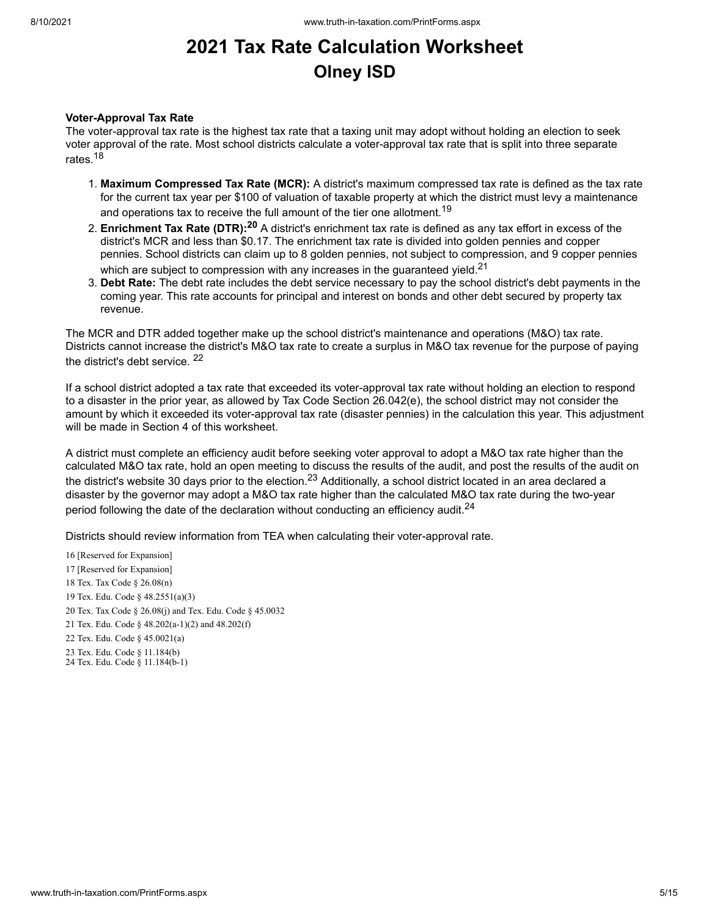#### **Voter-Approval Tax Rate**

The voter-approval tax rate is the highest tax rate that a taxing unit may adopt without holding an election to seek voter approval of the rate. Most school districts calculate a voter-approval tax rate that is split into three separate rates.<sup>18</sup>

- 1. **Maximum Compressed Tax Rate (MCR):** A district's maximum compressed tax rate is defined as the tax rate for the current tax year per \$100 of valuation of taxable property at which the district must levy a maintenance and operations tax to receive the full amount of the tier one allotment. $^{\mathsf{19}}$
- 2. **Enrichment Tax Rate (DTR): <sup>20</sup>** A district's enrichment tax rate is defined as any tax effort in excess of the district's MCR and less than \$0.17. The enrichment tax rate is divided into golden pennies and copper pennies. School districts can claim up to 8 golden pennies, not subject to compression, and 9 copper pennies which are subject to compression with any increases in the guaranteed yield. $^{21}$
- 3. **Debt Rate:** The debt rate includes the debt service necessary to pay the school district's debt payments in the coming year. This rate accounts for principal and interest on bonds and other debt secured by property tax revenue.

The MCR and DTR added together make up the school district's maintenance and operations (M&O) tax rate. Districts cannot increase the district's M&O tax rate to create a surplus in M&O tax revenue for the purpose of paying the district's debt service. 22

If a school district adopted a tax rate that exceeded its voter-approval tax rate without holding an election to respond to a disaster in the prior year, as allowed by Tax Code Section 26.042(e), the school district may not consider the amount by which it exceeded its voter-approval tax rate (disaster pennies) in the calculation this year. This adjustment will be made in Section 4 of this worksheet.

A district must complete an efficiency audit before seeking voter approval to adopt a M&O tax rate higher than the calculated M&O tax rate, hold an open meeting to discuss the results of the audit, and post the results of the audit on the district's website 30 days prior to the election.<sup>23</sup> Additionally, a school district located in an area declared a disaster by the governor may adopt a M&O tax rate higher than the calculated M&O tax rate during the two-year period following the date of the declaration without conducting an efficiency audit. $^\mathrm{24}$ 

Districts should review information from TEA when calculating their voter-approval rate.

 [Reserved for Expansion] [Reserved for Expansion] Tex. Tax Code § 26.08(n) Tex. Edu. Code § 48.2551(a)(3) Tex. Tax Code § 26.08(j) and Tex. Edu. Code § 45.0032 Tex. Edu. Code § 48.202(a-1)(2) and 48.202(f) Tex. Edu. Code § 45.0021(a) Tex. Edu. Code § 11.184(b) Tex. Edu. Code § 11.184(b-1)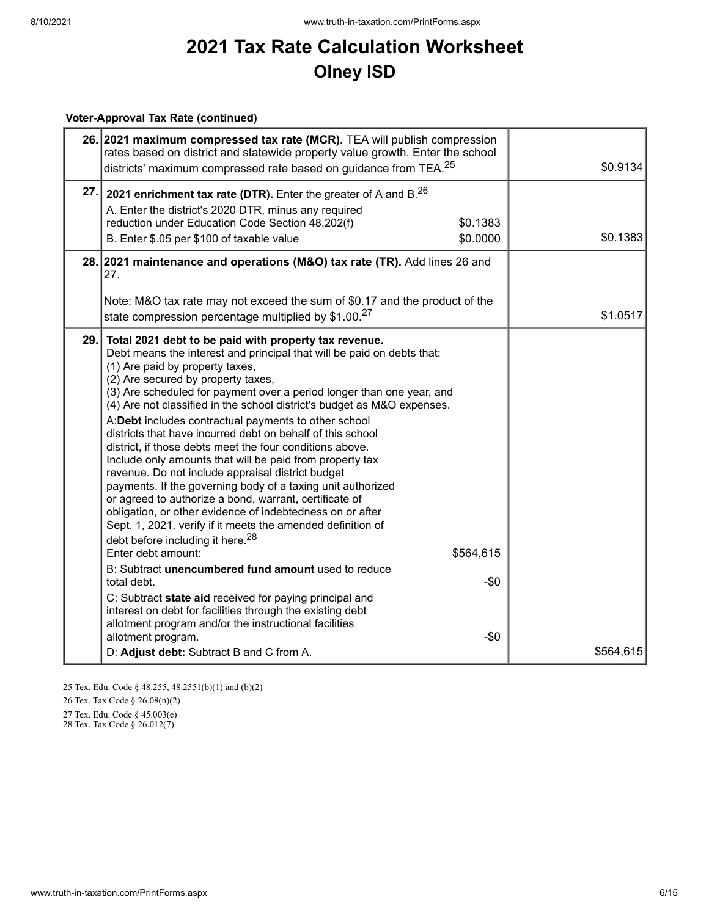# **Voter-Approval Tax Rate (continued)**

|                                                                                                                                                                                                                                                                                                                                                                                                                                                                                                                                                                                                                                                                                                                                                                                                                                                                                                                                                                                                                                                                                                                                                                                                                                                                                                                            | 26. 2021 maximum compressed tax rate (MCR). TEA will publish compression<br>rates based on district and statewide property value growth. Enter the school<br>districts' maximum compressed rate based on guidance from TEA. <sup>25</sup> |           |  |  |
|----------------------------------------------------------------------------------------------------------------------------------------------------------------------------------------------------------------------------------------------------------------------------------------------------------------------------------------------------------------------------------------------------------------------------------------------------------------------------------------------------------------------------------------------------------------------------------------------------------------------------------------------------------------------------------------------------------------------------------------------------------------------------------------------------------------------------------------------------------------------------------------------------------------------------------------------------------------------------------------------------------------------------------------------------------------------------------------------------------------------------------------------------------------------------------------------------------------------------------------------------------------------------------------------------------------------------|-------------------------------------------------------------------------------------------------------------------------------------------------------------------------------------------------------------------------------------------|-----------|--|--|
| 27.<br>2021 enrichment tax rate (DTR). Enter the greater of A and $B^{26}$<br>A. Enter the district's 2020 DTR, minus any required<br>reduction under Education Code Section 48.202(f)<br>B. Enter \$.05 per \$100 of taxable value                                                                                                                                                                                                                                                                                                                                                                                                                                                                                                                                                                                                                                                                                                                                                                                                                                                                                                                                                                                                                                                                                        | \$0.1383<br>\$0.0000                                                                                                                                                                                                                      | \$0.1383  |  |  |
| 28. 2021 maintenance and operations (M&O) tax rate (TR). Add lines 26 and<br>27.                                                                                                                                                                                                                                                                                                                                                                                                                                                                                                                                                                                                                                                                                                                                                                                                                                                                                                                                                                                                                                                                                                                                                                                                                                           |                                                                                                                                                                                                                                           |           |  |  |
| Note: M&O tax rate may not exceed the sum of \$0.17 and the product of the<br>state compression percentage multiplied by \$1.00.27                                                                                                                                                                                                                                                                                                                                                                                                                                                                                                                                                                                                                                                                                                                                                                                                                                                                                                                                                                                                                                                                                                                                                                                         |                                                                                                                                                                                                                                           | \$1.0517  |  |  |
| 29.<br>Total 2021 debt to be paid with property tax revenue.<br>Debt means the interest and principal that will be paid on debts that:<br>(1) Are paid by property taxes,<br>(2) Are secured by property taxes,<br>(3) Are scheduled for payment over a period longer than one year, and<br>(4) Are not classified in the school district's budget as M&O expenses.<br>A:Debt includes contractual payments to other school<br>districts that have incurred debt on behalf of this school<br>district, if those debts meet the four conditions above.<br>Include only amounts that will be paid from property tax<br>revenue. Do not include appraisal district budget<br>payments. If the governing body of a taxing unit authorized<br>or agreed to authorize a bond, warrant, certificate of<br>obligation, or other evidence of indebtedness on or after<br>Sept. 1, 2021, verify if it meets the amended definition of<br>debt before including it here. <sup>28</sup><br>Enter debt amount:<br>B: Subtract unencumbered fund amount used to reduce<br>total debt.<br>C: Subtract state aid received for paying principal and<br>interest on debt for facilities through the existing debt<br>allotment program and/or the instructional facilities<br>allotment program.<br>D: Adjust debt: Subtract B and C from A. | \$564,615<br>-\$0<br>$-\$0$                                                                                                                                                                                                               | \$564,615 |  |  |

25 Tex. Edu. Code § 48.255, 48.2551(b)(1) and (b)(2)

26 Tex. Tax Code § 26.08(n)(2)

27 Tex. Edu. Code § 45.003(e)

28 Tex. Tax Code § 26.012(7)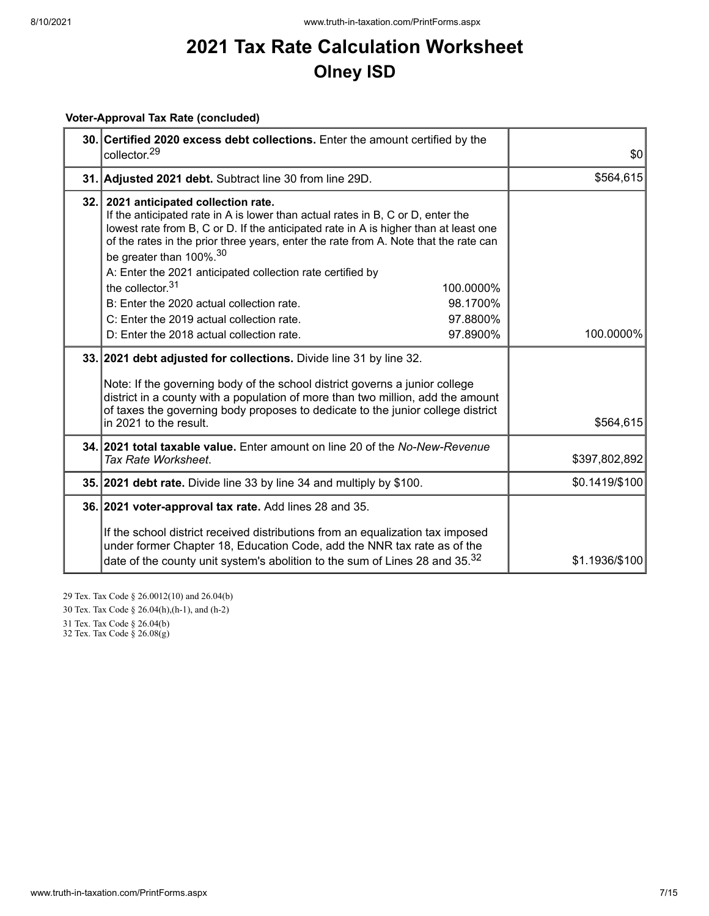# **Voter-Approval Tax Rate (concluded)**

| 30. Certified 2020 excess debt collections. Enter the amount certified by the<br>collector. <sup>29</sup>                                                                                                                                                                                                                                                                                                                                                                                                  | \$0            |
|------------------------------------------------------------------------------------------------------------------------------------------------------------------------------------------------------------------------------------------------------------------------------------------------------------------------------------------------------------------------------------------------------------------------------------------------------------------------------------------------------------|----------------|
| 31. Adjusted 2021 debt. Subtract line 30 from line 29D.                                                                                                                                                                                                                                                                                                                                                                                                                                                    | \$564,615      |
| 32. 2021 anticipated collection rate.<br>If the anticipated rate in A is lower than actual rates in B, C or D, enter the<br>lowest rate from B, C or D. If the anticipated rate in A is higher than at least one<br>of the rates in the prior three years, enter the rate from A. Note that the rate can<br>be greater than 100%. <sup>30</sup><br>A: Enter the 2021 anticipated collection rate certified by<br>the collector. $31$<br>100.0000%<br>98.1700%<br>B: Enter the 2020 actual collection rate. |                |
| C: Enter the 2019 actual collection rate.<br>97.8800%                                                                                                                                                                                                                                                                                                                                                                                                                                                      |                |
| 97.8900%<br>D: Enter the 2018 actual collection rate.                                                                                                                                                                                                                                                                                                                                                                                                                                                      | 100.0000%      |
| 33. 2021 debt adjusted for collections. Divide line 31 by line 32.<br>Note: If the governing body of the school district governs a junior college<br>district in a county with a population of more than two million, add the amount<br>of taxes the governing body proposes to dedicate to the junior college district<br>in 2021 to the result.                                                                                                                                                          | \$564,615      |
| <b>34. 2021 total taxable value.</b> Enter amount on line 20 of the No-New-Revenue<br>Tax Rate Worksheet.                                                                                                                                                                                                                                                                                                                                                                                                  | \$397,802,892  |
| 35. 2021 debt rate. Divide line 33 by line 34 and multiply by \$100.                                                                                                                                                                                                                                                                                                                                                                                                                                       | \$0.1419/\$100 |
| 36. 2021 voter-approval tax rate. Add lines 28 and 35.<br>If the school district received distributions from an equalization tax imposed<br>under former Chapter 18, Education Code, add the NNR tax rate as of the<br>date of the county unit system's abolition to the sum of Lines 28 and 35. <sup>32</sup>                                                                                                                                                                                             | \$1.1936/\$100 |

29 Tex. Tax Code § 26.0012(10) and 26.04(b)

30 Tex. Tax Code § 26.04(h),(h-1), and (h-2)

31 Tex. Tax Code § 26.04(b)

32 Tex. Tax Code § 26.08(g)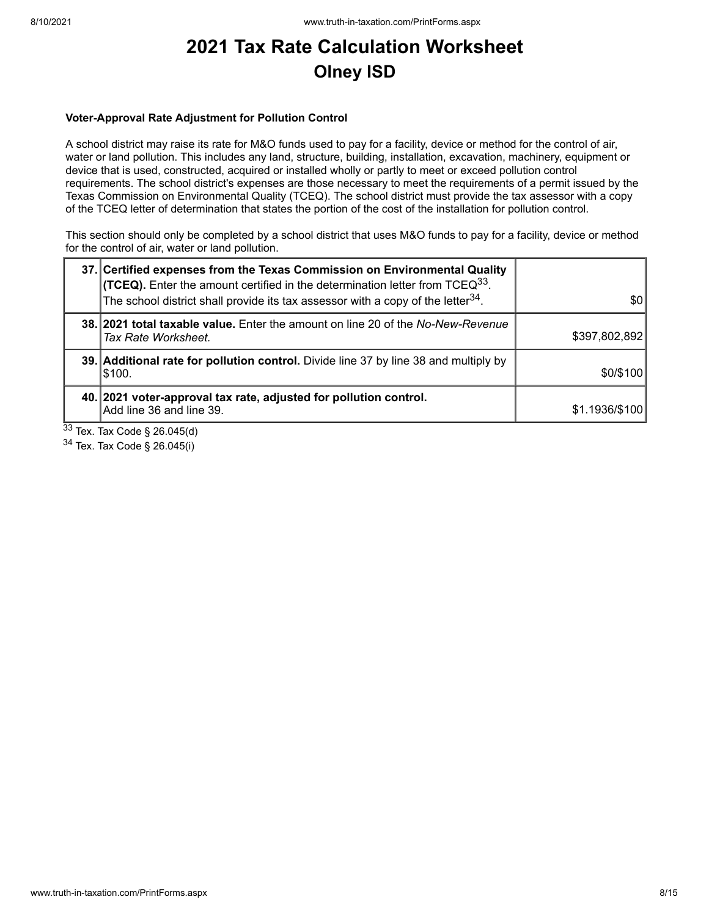#### **Voter-Approval Rate Adjustment for Pollution Control**

A school district may raise its rate for M&O funds used to pay for a facility, device or method for the control of air, water or land pollution. This includes any land, structure, building, installation, excavation, machinery, equipment or device that is used, constructed, acquired or installed wholly or partly to meet or exceed pollution control requirements. The school district's expenses are those necessary to meet the requirements of a permit issued by the Texas Commission on Environmental Quality (TCEQ). The school district must provide the tax assessor with a copy of the TCEQ letter of determination that states the portion of the cost of the installation for pollution control.

This section should only be completed by a school district that uses M&O funds to pay for a facility, device or method for the control of air, water or land pollution.

| 37. Certified expenses from the Texas Commission on Environmental Quality<br><b>(TCEQ).</b> Enter the amount certified in the determination letter from TCEQ <sup>33</sup> .<br>The school district shall provide its tax assessor with a copy of the letter $34$ . | \$0            |
|---------------------------------------------------------------------------------------------------------------------------------------------------------------------------------------------------------------------------------------------------------------------|----------------|
| 38. 2021 total taxable value. Enter the amount on line 20 of the No-New-Revenue<br>Tax Rate Worksheet.                                                                                                                                                              | \$397,802,892  |
| 39. Additional rate for pollution control. Divide line 37 by line 38 and multiply by<br> \$100.                                                                                                                                                                     | \$0/\$100      |
| 40. 2021 voter-approval tax rate, adjusted for pollution control.<br>Add line 36 and line 39.                                                                                                                                                                       | \$1.1936/\$100 |

 $33$  Tex. Tax Code § 26.045(d)

<sup>34</sup> Tex. Tax Code § 26.045(i)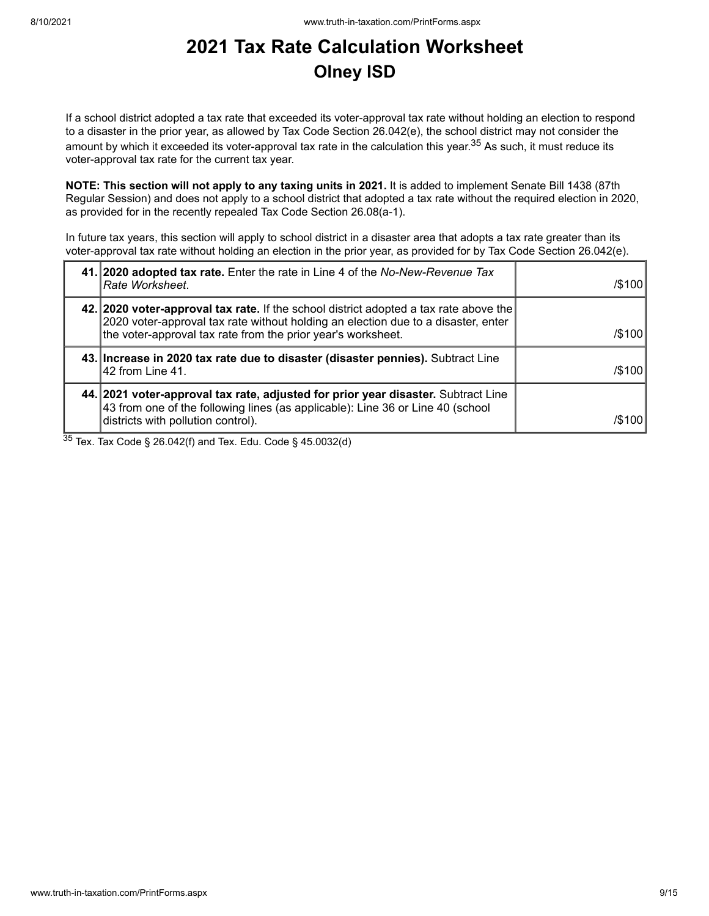If a school district adopted a tax rate that exceeded its voter-approval tax rate without holding an election to respond to a disaster in the prior year, as allowed by Tax Code Section 26.042(e), the school district may not consider the amount by which it exceeded its voter-approval tax rate in the calculation this year.<sup>35</sup> As such, it must reduce its voter-approval tax rate for the current tax year.

**NOTE: This section will not apply to any taxing units in 2021.** It is added to implement Senate Bill 1438 (87th Regular Session) and does not apply to a school district that adopted a tax rate without the required election in 2020, as provided for in the recently repealed Tax Code Section 26.08(a-1).

In future tax years, this section will apply to school district in a disaster area that adopts a tax rate greater than its voter-approval tax rate without holding an election in the prior year, as provided for by Tax Code Section 26.042(e).

| 41. 2020 adopted tax rate. Enter the rate in Line 4 of the No-New-Revenue Tax<br>Rate Worksheet.                                                                                                                                           | $/$ \$100 |
|--------------------------------------------------------------------------------------------------------------------------------------------------------------------------------------------------------------------------------------------|-----------|
| 42. 2020 voter-approval tax rate. If the school district adopted a tax rate above the<br>2020 voter-approval tax rate without holding an election due to a disaster, enter<br>the voter-approval tax rate from the prior year's worksheet. | $/$ \$100 |
| 43. Increase in 2020 tax rate due to disaster (disaster pennies). Subtract Line<br>l42 from Line 41.                                                                                                                                       | /\$100    |
| 44. 2021 voter-approval tax rate, adjusted for prior year disaster. Subtract Line<br>43 from one of the following lines (as applicable): Line 36 or Line 40 (school<br>districts with pollution control).                                  | /\$100    |

 $35$  Tex. Tax Code § 26.042(f) and Tex. Edu. Code § 45.0032(d)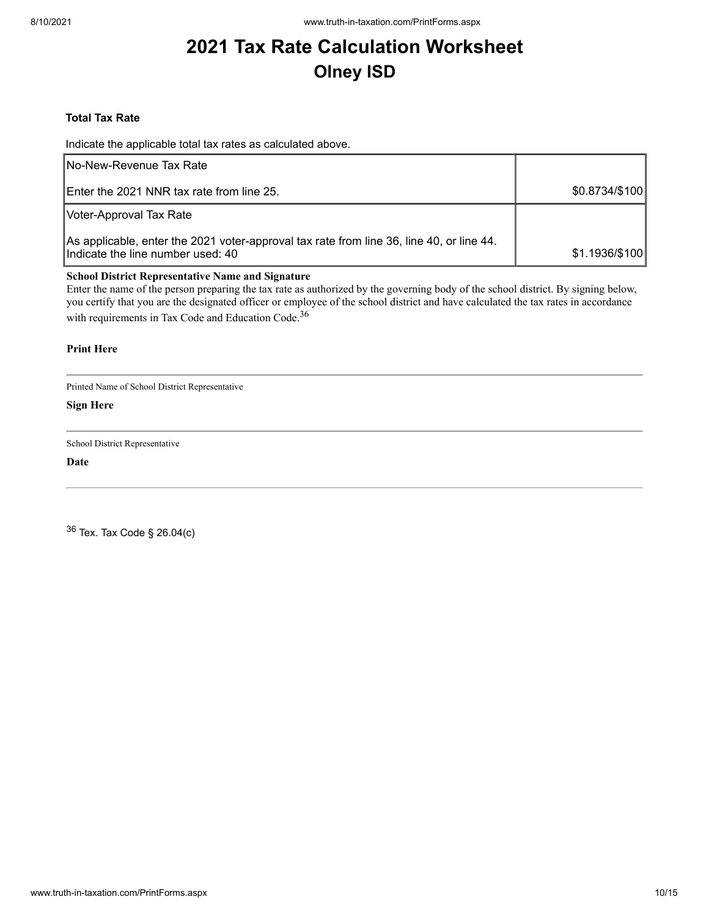#### **Total Tax Rate**

Indicate the applicable total tax rates as calculated above.

| <b>INo-New-Revenue Tax Rate</b>                                                                                               |                |
|-------------------------------------------------------------------------------------------------------------------------------|----------------|
| <b>IEnter the 2021 NNR tax rate from line 25.</b>                                                                             | \$0.8734/\$100 |
| Voter-Approval Tax Rate                                                                                                       |                |
| As applicable, enter the 2021 voter-approval tax rate from line 36, line 40, or line 44.<br>Indicate the line number used: 40 | \$1.1936/\$100 |

#### **School District Representative Name and Signature**

Enter the name of the person preparing the tax rate as authorized by the governing body of the school district. By signing below, you certify that you are the designated officer or employee of the school district and have calculated the tax rates in accordance with requirements in Tax Code and Education Code.<sup>36</sup>

#### **Print Here**

Printed Name of School District Representative

**Sign Here**

School District Representative

**Date**

<sup>36</sup> Tex. Tax Code § 26.04(c)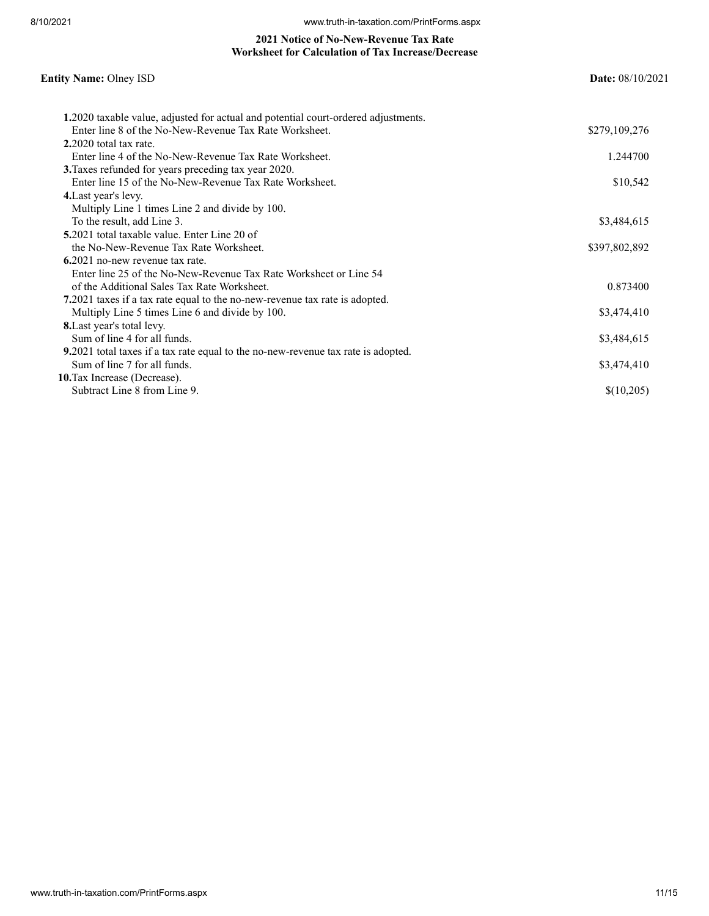#### **2021 Notice of No-New-Revenue Tax Rate Worksheet for Calculation of Tax Increase/Decrease**

# **Entity Name:** Olney ISD **Date:** 08/10/2021 **1.**2020 taxable value, adjusted for actual and potential court-ordered adjustments. Enter line 8 of the No-New-Revenue Tax Rate Worksheet. \$279,109,276 **2.**2020 total tax rate. Enter line 4 of the No-New-Revenue Tax Rate Worksheet. 1.244700 **3.**Taxes refunded for years preceding tax year 2020. Enter line 15 of the No-New-Revenue Tax Rate Worksheet. \$10,542 **4.**Last year's levy. Multiply Line 1 times Line 2 and divide by 100. To the result, add Line 3. \$3,484,615 **5.**2021 total taxable value. Enter Line 20 of the No-New-Revenue Tax Rate Worksheet.  $$397,802,892$ **6.**2021 no-new revenue tax rate. Enter line 25 of the No-New-Revenue Tax Rate Worksheet or Line 54 of the Additional Sales Tax Rate Worksheet. 0.873400 **7.**2021 taxes if a tax rate equal to the no-new-revenue tax rate is adopted. Multiply Line 5 times Line 6 and divide by 100. \$3,474,410 **8.**Last year's total levy. Sum of line 4 for all funds. \$3,484,615 **9.**2021 total taxes if a tax rate equal to the no-new-revenue tax rate is adopted. Sum of line 7 for all funds. \$3,474,410 **10.**Tax Increase (Decrease). Subtract Line 8 from Line 9.  $\{(10,205)\}$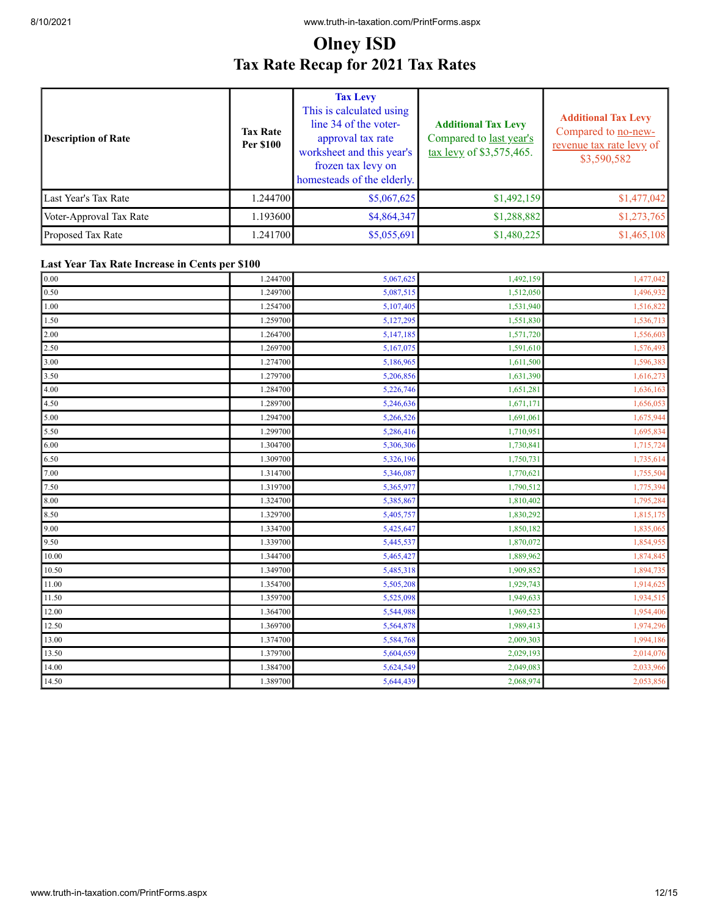# **Olney ISD Tax Rate Recap for 2021 Tax Rates**

| Description of Rate     | <b>Tax Rate</b><br><b>Per \$100</b> | <b>Tax Levy</b><br>This is calculated using<br>line 34 of the voter-<br>approval tax rate<br>worksheet and this year's<br>frozen tax levy on<br>homesteads of the elderly. | <b>Additional Tax Levy</b><br>Compared to last year's<br>tax levy of \$3,575,465. | <b>Additional Tax Levy</b><br>Compared to no-new-<br>revenue tax rate levy of<br>\$3,590,582 |
|-------------------------|-------------------------------------|----------------------------------------------------------------------------------------------------------------------------------------------------------------------------|-----------------------------------------------------------------------------------|----------------------------------------------------------------------------------------------|
| Last Year's Tax Rate    | 1.244700                            | \$5,067,625                                                                                                                                                                | \$1,492,159                                                                       | \$1,477,042                                                                                  |
| Voter-Approval Tax Rate | 1.193600                            | \$4,864,347                                                                                                                                                                | \$1,288,882                                                                       | \$1,273,765                                                                                  |
| Proposed Tax Rate       | 1.241700                            | \$5,055,691                                                                                                                                                                | \$1,480,225                                                                       | \$1,465,108                                                                                  |

#### **Last Year Tax Rate Increase in Cents per \$100**

| $0.00\,$ | 1.244700 | 5,067,625 | 1,492,159 | 1,477,042 |
|----------|----------|-----------|-----------|-----------|
| 0.50     | 1.249700 | 5,087,515 | 1,512,050 | 1,496,932 |
| 1.00     | 1.254700 | 5,107,405 | 1,531,940 | 1,516,822 |
| 1.50     | 1.259700 | 5,127,295 | 1,551,830 | 1,536,713 |
| 2.00     | 1.264700 | 5,147,185 | 1,571,720 | 1,556,603 |
| 2.50     | 1.269700 | 5,167,075 | 1,591,610 | 1,576,493 |
| 3.00     | 1.274700 | 5,186,965 | 1,611,500 | 1,596,383 |
| 3.50     | 1.279700 | 5,206,856 | 1,631,390 | 1,616,273 |
| 4.00     | 1.284700 | 5,226,746 | 1,651,281 | 1,636,163 |
| 4.50     | 1.289700 | 5,246,636 | 1,671,171 | 1,656,053 |
| 5.00     | 1.294700 | 5,266,526 | 1,691,061 | 1,675,944 |
| 5.50     | 1.299700 | 5,286,416 | 1,710,951 | 1,695,834 |
| 6.00     | 1.304700 | 5,306,306 | 1,730,841 | 1,715,724 |
| 6.50     | 1.309700 | 5,326,196 | 1,750,731 | 1,735,614 |
| 7.00     | 1.314700 | 5,346,087 | 1,770,621 | 1,755,504 |
| 7.50     | 1.319700 | 5,365,977 | 1,790,512 | 1,775,394 |
| 8.00     | 1.324700 | 5,385,867 | 1,810,402 | 1,795,284 |
| 8.50     | 1.329700 | 5,405,757 | 1,830,292 | 1,815,175 |
| 9.00     | 1.334700 | 5,425,647 | 1,850,182 | 1,835,065 |
| 9.50     | 1.339700 | 5,445,537 | 1,870,072 | 1,854,955 |
| 10.00    | 1.344700 | 5,465,427 | 1,889,962 | 1,874,845 |
| 10.50    | 1.349700 | 5,485,318 | 1,909,852 | 1,894,735 |
| 11.00    | 1.354700 | 5,505,208 | 1,929,743 | 1,914,625 |
| 11.50    | 1.359700 | 5,525,098 | 1,949,633 | 1,934,515 |
| 12.00    | 1.364700 | 5,544,988 | 1,969,523 | 1,954,406 |
| 12.50    | 1.369700 | 5,564,878 | 1,989,413 | 1,974,296 |
| 13.00    | 1.374700 | 5,584,768 | 2,009,303 | 1,994,186 |
| 13.50    | 1.379700 | 5,604,659 | 2,029,193 | 2,014,076 |
| 14.00    | 1.384700 | 5,624,549 | 2,049,083 | 2,033,966 |
| 14.50    | 1.389700 | 5,644,439 | 2,068,974 | 2,053,856 |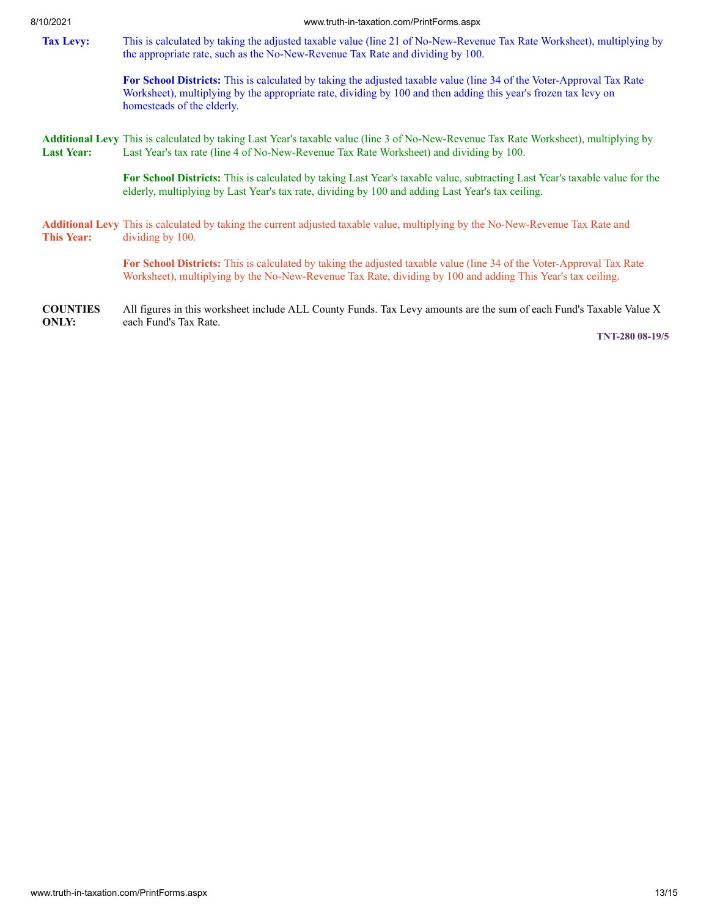#### 8/10/2021 www.truth-in-taxation.com/PrintForms.aspx

<span id="page-12-0"></span>**Tax Levy:** This is calculated by taking the adjusted taxable value (line 21 of No-New-Revenue Tax Rate Worksheet), multiplying by the appropriate rate, such as the No-New-Revenue Tax Rate and dividing by 100.

> **For School Districts:** This is calculated by taking the adjusted taxable value (line 34 of the Voter-Approval Tax Rate Worksheet), multiplying by the appropriate rate, dividing by 100 and then adding this year's frozen tax levy on homesteads of the elderly.

<span id="page-12-1"></span>**Additional Levy** This is calculated by taking Last Year's taxable value (line 3 of No-New-Revenue Tax Rate Worksheet), multiplying by **Last Year:** Last Year's tax rate (line 4 of No-New-Revenue Tax Rate Worksheet) and dividing by 100.

> **For School Districts:** This is calculated by taking Last Year's taxable value, subtracting Last Year's taxable value for the elderly, multiplying by Last Year's tax rate, dividing by 100 and adding Last Year's tax ceiling.

<span id="page-12-2"></span>**Additional Levy** This is calculated by taking the current adjusted taxable value, multiplying by the No-New-Revenue Tax Rate and **This Year:** dividing by 100.

> **For School Districts:** This is calculated by taking the adjusted taxable value (line 34 of the Voter-Approval Tax Rate Worksheet), multiplying by the No-New-Revenue Tax Rate, dividing by 100 and adding This Year's tax ceiling.

**COUNTIES ONLY:** All figures in this worksheet include ALL County Funds. Tax Levy amounts are the sum of each Fund's Taxable Value X each Fund's Tax Rate.

**TNT-280 08-19/5**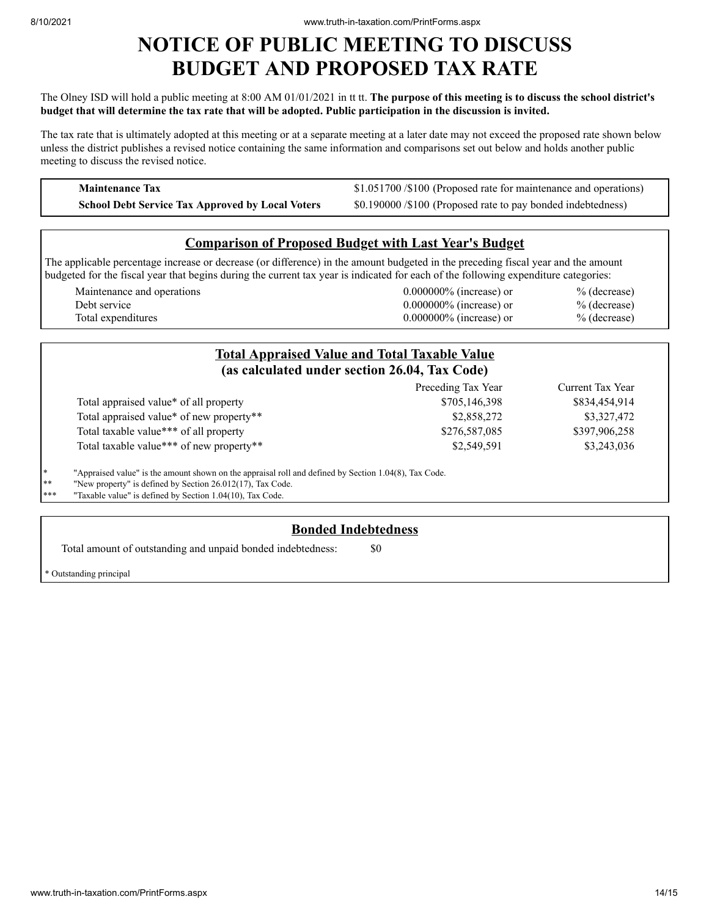# **NOTICE OF PUBLIC MEETING TO DISCUSS BUDGET AND PROPOSED TAX RATE**

#### The Olney ISD will hold a public meeting at 8:00 AM 01/01/2021 in tt tt. **The purpose of this meeting is to discuss the school district's** budget that will determine the tax rate that will be adopted. Public participation in the discussion is invited.

The tax rate that is ultimately adopted at this meeting or at a separate meeting at a later date may not exceed the proposed rate shown below unless the district publishes a revised notice containing the same information and comparisons set out below and holds another public meeting to discuss the revised notice.

**Maintenance Tax** \$1.051700 /\$1.051700 /\$1.051700 /\$100 (Proposed rate for maintenance and operations) **School Debt Service Tax Approved by Local Voters** \$0.190000 /\$100 (Proposed rate to pay bonded indebtedness)

# **Comparison of Proposed Budget with Last Year's Budget**

The applicable percentage increase or decrease (or difference) in the amount budgeted in the preceding fiscal year and the amount budgeted for the fiscal year that begins during the current tax year is indicated for each of the following expenditure categories:

Maintenance and operations 0.000000% (increase) or % (decrease) Debt service 0.000000% (increase) or % (decrease) Total expenditures  $0.000000\%$  (increase) or  $\%$  (decrease)

|                                                                  | <b>Total Appraised Value and Total Taxable Value</b><br>(as calculated under section 26.04, Tax Code) |                    |                  |  |  |
|------------------------------------------------------------------|-------------------------------------------------------------------------------------------------------|--------------------|------------------|--|--|
|                                                                  |                                                                                                       | Preceding Tax Year | Current Tax Year |  |  |
|                                                                  | Total appraised value* of all property                                                                | \$705,146,398      | \$834,454,914    |  |  |
|                                                                  | Total appraised value* of new property**                                                              | \$2,858,272        | \$3,327,472      |  |  |
|                                                                  | Total taxable value*** of all property                                                                | \$276,587,085      | \$397,906,258    |  |  |
|                                                                  | Total taxable value*** of new property**                                                              | \$2,549,591        | \$3,243,036      |  |  |
| $*$                                                              | "Appraised value" is the amount shown on the appraisal roll and defined by Section 1.04(8), Tax Code. |                    |                  |  |  |
| **                                                               | "New property" is defined by Section 26.012(17), Tax Code.                                            |                    |                  |  |  |
| ***<br>"Taxable value" is defined by Section 1.04(10), Tax Code. |                                                                                                       |                    |                  |  |  |

# **Bonded Indebtedness**

Total amount of outstanding and unpaid bonded indebtedness:  $\qquad \qquad$  \$0

Outstanding principal